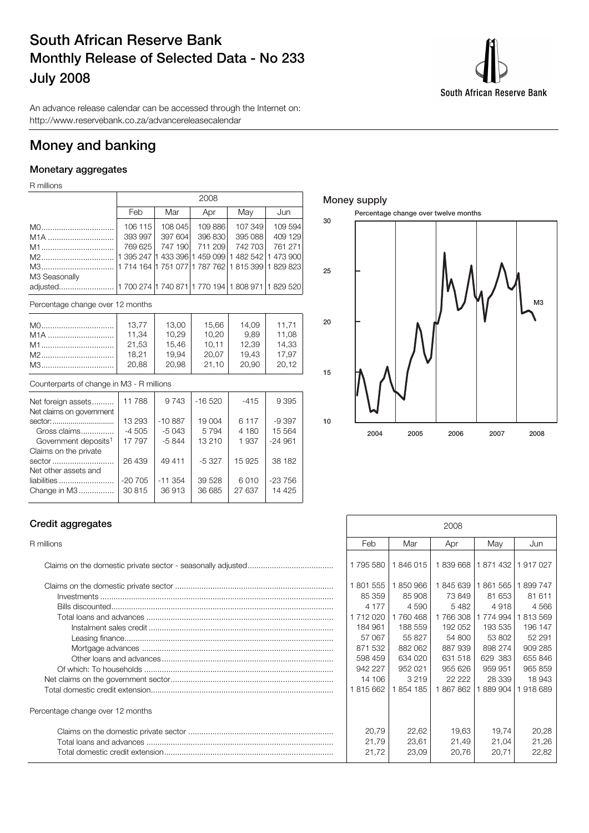# South African Reserve Bank Monthly Release of Selected Data - No 233 July 2008



An advance release calendar can be accessed through the Internet on: http://www.reservebank.co.za/advancereleasecalendar

## Money and banking

## Monetary aggregates

R millions

|                                  |         | 2008    |         |                                                         |         |  |  |  |  |  |  |  |
|----------------------------------|---------|---------|---------|---------------------------------------------------------|---------|--|--|--|--|--|--|--|
|                                  | Feb     | Mar     | Apr     | May                                                     | Jun     |  |  |  |  |  |  |  |
| M0                               | 106 115 | 108 045 | 109 886 | 107 349                                                 | 109 594 |  |  |  |  |  |  |  |
| M <sub>1</sub> A                 | 393 997 | 397 604 | 396 830 | 395 088                                                 | 409 129 |  |  |  |  |  |  |  |
| M1                               | 769 625 | 747 190 | 711 209 | 742 703                                                 | 761 271 |  |  |  |  |  |  |  |
|                                  |         |         |         | 1 395 247  1 433 396  1 459 099   1 482 542   1 473 900 |         |  |  |  |  |  |  |  |
| M3                               |         |         |         | 11 714 164 11 751 077 1 787 762 1 815 399 1 829 823 1   |         |  |  |  |  |  |  |  |
| M3 Seasonally                    |         |         |         |                                                         |         |  |  |  |  |  |  |  |
|                                  |         |         |         |                                                         |         |  |  |  |  |  |  |  |
| Percentage change over 12 months |         |         |         |                                                         |         |  |  |  |  |  |  |  |

| M0 | 13.77 | 13,00 | 15,66 | 14.09 | 11.71 |
|----|-------|-------|-------|-------|-------|
|    | 11,34 | 10,29 | 10,20 | 9.89  | 11,08 |
| M1 | 21,53 | 15,46 | 10.11 | 12.39 | 14,33 |
|    | 18.21 | 19.94 | 20,07 | 19.43 | 17.97 |
| M3 | 20,88 | 20,98 | 21,10 | 20.90 | 20.12 |

### Counterparts of change in M3 - R millions

| Net foreign assets               | 11788    | 9 7 4 3  | $-16520$ | $-415$  | 9 3 9 5  |
|----------------------------------|----------|----------|----------|---------|----------|
| Net claims on government         |          |          |          |         |          |
| sector:                          | 13 293   | $-10887$ | 19 004   | 6 1 1 7 | $-9.397$ |
| Gross claims                     | $-4505$  | $-5043$  | 5794     | 4 180   | 15 5 64  |
| Government deposits <sup>1</sup> | 17 797   | $-5844$  | 13 210   | 1937    | $-24961$ |
| Claims on the private            |          |          |          |         |          |
| sector                           | 26 439   | 49411    | $-5.327$ | 15925   | 38 182   |
| Net other assets and             |          |          |          |         |          |
| liabilities                      | $-20705$ | $-11354$ | 39 5 28  | 6010    | $-23756$ |
| Change in M3                     | 30815    | 36913    | 36 685   | 27 637  | 14 4 25  |
|                                  |          |          |          |         |          |

## Money supply



### Credit aggregates

| Percentage change over 12 months |
|----------------------------------|
|                                  |
|                                  |
|                                  |

| Credit aggregates                |                    |                    | 2008               |                    |                    |
|----------------------------------|--------------------|--------------------|--------------------|--------------------|--------------------|
| R millions                       | Feb                | Mar                | Apr                | May                | Jun                |
|                                  | 1795 580           | 1846015            | 1839 668 1871 432  |                    | 917027             |
|                                  | 1801555<br>85 359  | 1850966<br>85 908  | 1845639<br>73 849  | 1861565<br>81 653  | 899 747<br>81611   |
|                                  | 4 1 7 7<br>1712020 | 4 5 9 0<br>1760468 | 5482<br>1766308    | 4918<br>1 774 994  | 4566<br>813569     |
|                                  | 184 961            | 188 559            | 192 052            | 193 535            | 196 147            |
|                                  | 57 067<br>871 532  | 55 827<br>882 062  | 54 800<br>887 939  | 53 802<br>898 274  | 52 291<br>909 285  |
|                                  | 598 459<br>942 227 | 634 020<br>952 021 | 631 518<br>955 626 | 629 383<br>959 951 | 655 846<br>965 859 |
|                                  | 14 106             | 3 2 1 9            | 22 2 2 2           | 28 339             | 18943              |
|                                  | 1815662            | 1854 185           | 1867862            | 1889904            | 918 689            |
| Percentage change over 12 months |                    |                    |                    |                    |                    |
|                                  | 20,79              | 22,62              | 19,63              | 19,74              | 20,28              |
|                                  | 21,79<br>21,72     | 23,61<br>23,09     | 21,49<br>20,76     | 21,04<br>20,71     | 21,26<br>22,82     |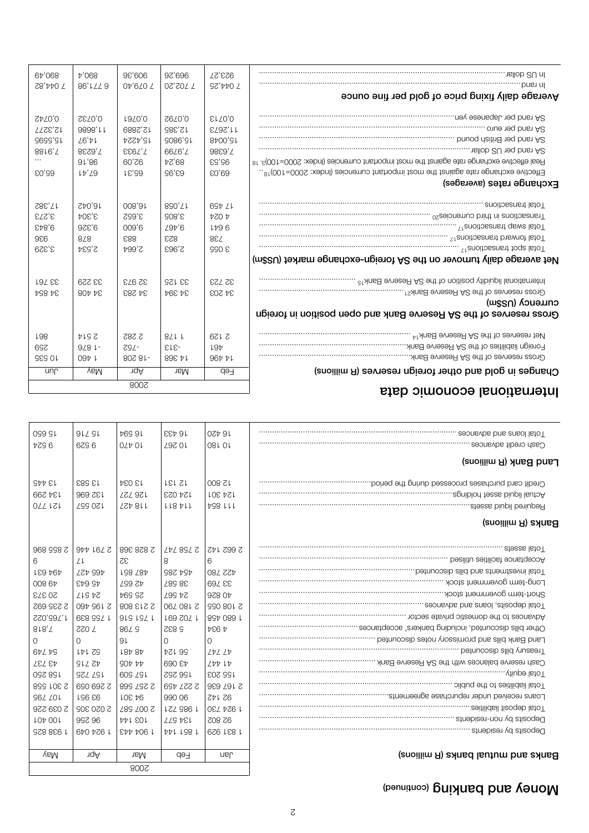# Money and banking (continued)

.......................................................................................... Total loans and advances

| Banks and mutual banks (R millions) |  |  |  |
|-------------------------------------|--|--|--|
|-------------------------------------|--|--|--|

| Cash credit advances                                                                                                                                                                                                           | 081 OL               | 10 267           | 02P0L                              | 6796                                                  | 9 524          |
|--------------------------------------------------------------------------------------------------------------------------------------------------------------------------------------------------------------------------------|----------------------|------------------|------------------------------------|-------------------------------------------------------|----------------|
| Land Bank (R millions)                                                                                                                                                                                                         |                      |                  |                                    |                                                       |                |
|                                                                                                                                                                                                                                | 12 800               | <b>12131</b>     | 13084                              | 13 583                                                | $5+55$         |
|                                                                                                                                                                                                                                | 124 301              | 124 023          | <b>1257 ast</b>                    | 132 696                                               | 134 299        |
| Required liquid assets                                                                                                                                                                                                         | <b>411 854</b>       | $L18$ $V1$       | 118427                             | 120 557                                               | 121 770        |
| Sanks (R millions)                                                                                                                                                                                                             |                      |                  |                                    |                                                       |                |
|                                                                                                                                                                                                                                | ZPL Z99 Z            | <b>TAT 887 S</b> | 898 878 Z                          | $9$ <sub><i>v<sub>t</sub></i> <math>16/2</math></sub> | 968 998 Z      |
| beceptance facilities distribution to the figure of the contract of the construction of the contract of the contract of the contract of the contract of the contract of the contract of the contract of the contract of the co | 6                    | 8                | 32                                 | 21                                                    | 6.             |
|                                                                                                                                                                                                                                | <b>087 SSA</b>       | 454 285          | <b>LS8 287</b>                     | <b>465 427</b>                                        | 494 631        |
| Note that the second of the second of the second of the second of the second of the second of the second of the second of the second of the second of the second of the second of the second of the second of the second of th | 897 EE               | 38 587           | <b>759 SA</b>                      | 45 643                                                | 008 67         |
|                                                                                                                                                                                                                                | 40 826               | <b>799 45</b>    | 52 P84                             | <b>24 517</b>                                         | 20373          |
|                                                                                                                                                                                                                                | 2 108 055            | 067 081 S        | 2 2 1 3 8 0 8                      | 2 195 460                                             | 2 235 692      |
|                                                                                                                                                                                                                                | 1 680 458            | L69 Z0/ L        | 91919L                             | 1 755 839                                             | SS0'992'L      |
|                                                                                                                                                                                                                                | 4 934                | 5 832            | 86 <i>L</i> S                      | <b>ZZO 2</b>                                          | 8r8,7          |
|                                                                                                                                                                                                                                | $\Omega$             | $\Omega$         | 9 <sub>l</sub>                     | $\Omega$                                              |                |
|                                                                                                                                                                                                                                | <b><i>LDL LD</i></b> | <b>56124</b>     | <b>484 481</b>                     | <b>141 SG</b>                                         | 67 <i>L</i> 79 |
|                                                                                                                                                                                                                                | $2DD+D$              | 690 St           | $90$ <sub><math>t</math></sub> $t$ | <b>SIL ZD</b>                                         | 43 737         |
|                                                                                                                                                                                                                                | 155 203              | 156 252          | 609 ZSL                            | <b>157 725</b>                                        | 158 250        |
|                                                                                                                                                                                                                                | 969 791 S            | 2 227 459        | 899 297 2                          | S 500 697                                             | 2 301 558      |
|                                                                                                                                                                                                                                | 92 142               | 990 06           | 94 301                             | 93 921                                                | 967 TOM        |
| experience of the control of the control of the control of the control of the control of the control of the control of the control of the control of the control of the control of the control of the control of the control o | 1 924 730            | <b>LZZ 986 L</b> | Z89 Z00 Z                          | S 020 302                                             | 2 039 226      |
|                                                                                                                                                                                                                                | <b>82802</b>         | TTG AST          | <b>AAL SOL</b>                     | 997 96                                                | <b>LOP 001</b> |
|                                                                                                                                                                                                                                | 1831 929             | <b>PPL LS8 L</b> | 1 904 443                          | 1 924 049                                             | 1 938 825      |
| (anoillim A) annsd lautum bns annse                                                                                                                                                                                            | ∩an                  | də-l             | nar                                | 1qA                                                   | yaM            |
|                                                                                                                                                                                                                                |                      |                  | 8007                               |                                                       |                |
|                                                                                                                                                                                                                                |                      |                  |                                    |                                                       |                |

 $\begin{array}{|c|c|c|c|c|c|c|c|c|} \hline \text{038 at} & \text{058 at} & \text{058 at} & \text{058 at} \\ \hline \end{array}$ 

| 67,068         | b'068         | 98'606        | 97'696         | 923,27                 | DO   3   WINDOWS    2010    2010    2010    2020    2020    2020    2020    2020    2020    2020    2020    20                                                                                                                                                                                                                                                                                                                                                                                                 |
|----------------|---------------|---------------|----------------|------------------------|----------------------------------------------------------------------------------------------------------------------------------------------------------------------------------------------------------------------------------------------------------------------------------------------------------------------------------------------------------------------------------------------------------------------------------------------------------------------------------------------------------------|
| 78, AAO T      | 86'LZZ9       | 04,070 T      | <b>7702,20</b> | 7 044,25               | . bns1 nl                                                                                                                                                                                                                                                                                                                                                                                                                                                                                                      |
|                |               |               |                |                        | Average daily fixing price of gold per fine ounce                                                                                                                                                                                                                                                                                                                                                                                                                                                              |
|                |               |               |                |                        |                                                                                                                                                                                                                                                                                                                                                                                                                                                                                                                |
| <b>SATO,0</b>  | <b>SEZ0'0</b> | <b>4970,0</b> | 0,0792         | $E$ <sub>170</sub> $0$ |                                                                                                                                                                                                                                                                                                                                                                                                                                                                                                                |
| <b>12,3277</b> | 9898, L L     | 12,2889       | 12,385         | E782, 11               |                                                                                                                                                                                                                                                                                                                                                                                                                                                                                                                |
| 15,5595        | 26'tl         | 15,4224       | <b>3086'SL</b> | 8400,81                | branch and prifital pound measurement and a branch measurement of the primary branch measurement.                                                                                                                                                                                                                                                                                                                                                                                                              |
| 8816'Z         | 8529'/        | <b>EE62'L</b> | 6626'Z         | 98E9'Z                 | . Tallob $SU$ ver the dollar .                                                                                                                                                                                                                                                                                                                                                                                                                                                                                 |
|                | 91'86         | 60'76         | <b>89,24</b>   | 85,53                  | Real effective exchange rate against the most inportant rumencies (Index: 2000=100) <sup>3, 18</sup>                                                                                                                                                                                                                                                                                                                                                                                                           |
| EO'99          | $Lb^2/9$      | FS, 33        | 96'89          | EO'69                  | Effective exchange rate against the most important currencies (Index: 2000=100) <sup>18</sup>                                                                                                                                                                                                                                                                                                                                                                                                                  |
|                |               |               |                |                        | Exchange rates (averages)                                                                                                                                                                                                                                                                                                                                                                                                                                                                                      |
| <b>17,382</b>  | 740,81        | 008,81        | $890'$ L       | $69b$ $21$             | l otal transactions                                                                                                                                                                                                                                                                                                                                                                                                                                                                                            |
| 3,273          | 3,304         | 3,652         | 308,5          | 4 OS4                  |                                                                                                                                                                                                                                                                                                                                                                                                                                                                                                                |
| $8*8*6$        | 925'6         | 009'6         | 29t6           | Lp96                   |                                                                                                                                                                                                                                                                                                                                                                                                                                                                                                                |
| 986            | 8/8           | 883           | 823            | 88Z                    | $\begin{minipage}{0.9\linewidth} \begin{tabular}{l} \textbf{1} \end{tabular} \begin{tabular}{l} \textbf{1} \end{tabular} \begin{tabular}{l} \textbf{2} \end{tabular} \end{minipage} \begin{minipage}{0.9\linewidth} \textbf{2} \end{minipage} \begin{minipage}{0.9\linewidth} \textbf{2} \end{minipage} \begin{minipage}{0.9\linewidth} \textbf{2} \end{minipage} \begin{minipage}{0.9\linewidth} \begin{tabular}{l} \textbf{2} \end{tabular} \end{minipage} \begin{minipage}{0.9\linewidth} \textbf{2} \end{$ |
| 3,329          | 2,534         | 5,664         | 2,963          | <b>990 &amp;</b>       | Total spot transactions <sup>17</sup>                                                                                                                                                                                                                                                                                                                                                                                                                                                                          |
|                |               |               |                |                        | Net average daily turnover on the SA foreign-exchange market (US\$n)                                                                                                                                                                                                                                                                                                                                                                                                                                           |
| <b>197 SS</b>  | 33 556        | 32 973        | <b>33125</b>   | 32723                  |                                                                                                                                                                                                                                                                                                                                                                                                                                                                                                                |
| 34 854         | 304 408       | 34 283        | 34 394         | 34 203                 |                                                                                                                                                                                                                                                                                                                                                                                                                                                                                                                |
|                |               |               |                |                        | cnueuc) (nggu)                                                                                                                                                                                                                                                                                                                                                                                                                                                                                                 |
|                |               |               |                |                        | Gross reserves of the SA Reserve Bank and open position in foreign                                                                                                                                                                                                                                                                                                                                                                                                                                             |
|                |               |               |                |                        |                                                                                                                                                                                                                                                                                                                                                                                                                                                                                                                |
| <b>L98</b>     | 2 514         | 5 S82         | 82LL           | 2129                   |                                                                                                                                                                                                                                                                                                                                                                                                                                                                                                                |
| 526            | $9281 -$      | -752          | -313           | L9Þ                    | Foreign liabilities of the SA Reserve Bank                                                                                                                                                                                                                                                                                                                                                                                                                                                                     |
| <b>10 535</b>  | 09Þ L         | -18 208       | 898 pl         | $96$ <i>t t</i>        | Gross reserves of the SA Reserve Bank                                                                                                                                                                                                                                                                                                                                                                                                                                                                          |
| unr            | vsM           | ıqA           | har            | də∃                    | Changes in gold and other foreign reserves (R millions)                                                                                                                                                                                                                                                                                                                                                                                                                                                        |
|                |               | <b>8002</b>   |                |                        |                                                                                                                                                                                                                                                                                                                                                                                                                                                                                                                |
|                |               |               |                |                        | International economic data                                                                                                                                                                                                                                                                                                                                                                                                                                                                                    |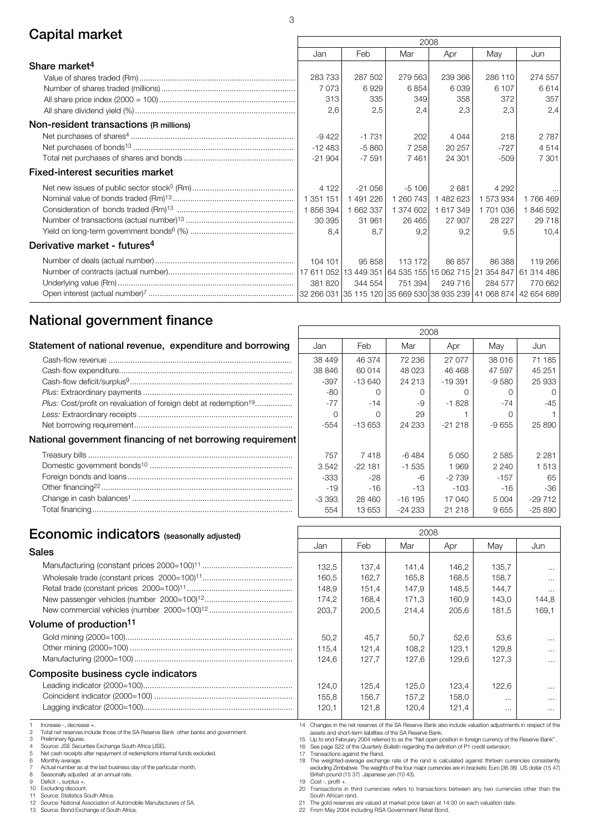# Capital market 2008

|                                          |           |           | ZUUO      |           |           |            |
|------------------------------------------|-----------|-----------|-----------|-----------|-----------|------------|
|                                          | Jan       | Feb       | Mar       | Apr       | May       | Jun        |
| Share market <sup>4</sup>                |           |           |           |           |           |            |
|                                          | 283733    | 287 502   | 279 563   | 239 366   | 286 110   | 274 557    |
|                                          | 7073      | 6929      | 6854      | 6039      | 6 107     | 6614       |
|                                          | 313       | 335       | 349       | 358       | 372       | 357        |
|                                          | 2,6       | 2,5       | 2,4       | 2,3       | 2,3       | 2,4        |
| Non-resident transactions (R millions)   |           |           |           |           |           |            |
|                                          | $-9422$   | $-1731$   | 202       | 4 0 4 4   | 218       | 2 7 8 7    |
|                                          | $-12483$  | $-5860$   | 7 2 5 8   | 20 257    | $-727$    | 4514       |
|                                          | $-21904$  | $-7591$   | 7461      | 24 301    | $-509$    | 7 301      |
| Fixed-interest securities market         |           |           |           |           |           |            |
|                                          | 4 1 2 2   | $-21056$  | $-5106$   | 2681      | 4 2 9 2   |            |
|                                          | 1 351 151 | 1 491 226 | 1 260 743 | 1482623   | 1 573 934 | 1766469    |
|                                          | 1856394   | 1 662 337 | 1 374 602 | 1 617 349 | 1 701 036 | 1846592    |
|                                          | 30 395    | 31 961    | 26 4 65   | 27 907    | 28 227    | 29 7 18    |
|                                          | 8.4       | 8.7       | 9,2       | 9,2       | 9,5       | 10,4       |
| Derivative market - futures <sup>4</sup> |           |           |           |           |           |            |
|                                          | 104 101   | 95858     | 113 172   | 86 857    | 86388     | 119 266    |
|                                          |           |           |           |           |           |            |
|                                          | 381 820   | 344 554   | 751 394   | 249 716   | 284 577   | 770 662    |
|                                          |           |           |           |           |           | 42 654 689 |

## National government finance

|                                                                                     | 2008    |          |           |          |         |          |  |
|-------------------------------------------------------------------------------------|---------|----------|-----------|----------|---------|----------|--|
| Statement of national revenue, expenditure and borrowing                            | Jan     | Feb      | Mar       | Apr      | May     | Jun      |  |
|                                                                                     | 38 449  | 46 374   | 72 236    | 27 077   | 38 016  | 71 185   |  |
|                                                                                     | 38 846  | 60 014   | 48 0 23   | 46 468   | 47 597  | 45 251   |  |
|                                                                                     | $-397$  | $-13640$ | 24 213    | $-19391$ | $-9580$ | 25 933   |  |
|                                                                                     | $-80$   |          |           |          |         |          |  |
| <i>Plus:</i> Cost/profit on revaluation of foreign debt at redemption <sup>19</sup> | $-77$   | $-14$    | -9        | $-1828$  | $-74$   | $-45$    |  |
|                                                                                     |         |          | 29        |          |         |          |  |
|                                                                                     | $-554$  | $-13653$ | 24 233    | $-21218$ | $-9655$ | 25 890   |  |
| National government financing of net borrowing requirement                          |         |          |           |          |         |          |  |
|                                                                                     | 757     | 7418     | -6 484    | 5 0 5 0  | 2 5 8 5 | 2 2 8 1  |  |
|                                                                                     | 3542    | $-22181$ | $-1.535$  | 1969     | 2 2 4 0 | 1 5 1 3  |  |
|                                                                                     | $-333$  | -28      | -6        | $-2739$  | $-157$  | -65      |  |
|                                                                                     | $-19$   | -16      | -13       | $-103$   | $-16$   | $-36$    |  |
|                                                                                     | $-3393$ | 28 460   | $-16$ 195 | 17 040   | 5 0 0 4 | $-29712$ |  |
|                                                                                     | 554     | 13 653   | $-24233$  | 21 218   | 9655    | $-2589C$ |  |
|                                                                                     |         |          |           |          |         |          |  |

# Economic indicators (seasonally adjusted)<br>
and Feb Mar

|                                     | Jan   | Feb   | Mar   | Apr   | May   | Jun                  |
|-------------------------------------|-------|-------|-------|-------|-------|----------------------|
| Sales                               |       |       |       |       |       |                      |
|                                     | 132.5 | 137.4 | 141.4 | 146.2 | 135.7 | $\ddot{\phantom{a}}$ |
|                                     | 160.5 | 162.7 | 165.8 | 168.5 | 158.7 |                      |
|                                     | 148.9 | 151,4 | 147.9 | 148.5 | 144.7 | $\sim$               |
|                                     | 174.2 | 168,4 | 171.3 | 160,9 | 143,0 | 144,8                |
|                                     | 203.7 | 200.5 | 214.4 | 205.6 | 181.5 | 169.1                |
| Volume of production <sup>11</sup>  |       |       |       |       |       |                      |
|                                     | 50.2  | 45.7  | 50.7  | 52.6  | 53.6  |                      |
|                                     | 115.4 | 121.4 | 108.2 | 123.1 | 129,8 |                      |
|                                     | 124.6 | 127.7 | 127.6 | 129.6 | 127.3 |                      |
| Composite business cycle indicators |       |       |       |       |       |                      |
|                                     | 124.0 | 125,4 | 125.0 | 123.4 | 122,6 |                      |

## Coincident indicator (2000=100) ............................................................... Lagging indicator (2000=100)....................................................................

1 Increase -, decrease +.<br>2 Total net reserves inclu-

2 Total net reserves include those of the SA Reserve Bank other banks and government.

3 Preliminary figures.<br>4 Source: JSE Secur<br>5 Net cash receipts a

4 Source: JSE Securities Exchange South Africa (JSE). 5 Net cash receipts after repayment of redemptions internal funds excluded.

6 Monthly average. 7 Actual number as at the last business day of the particular month.<br>8 Seasonally adjusted at an annual rate.

8 Seasonally adjusted at an annual rate.

9 Deficit -, surplus +. 10 Excluding discount.

11 Source: Statistics South Africa. 12 Source: National Association of Automobile Manufacturers of SA.

13 Source: Bond Exchange of South Africa.

14 Changes in the net reserves of the SA Reserve Bank also include valuation adjustments in respect of the assets and short-term liabilities of the SA Reserve Bank.

 $155,8$  | 156,7 | 157,2 | 158,0 | ... | ...  $120,1$  121,8 120,4 121,4 ...

15 Up to end February 2004 referred to as the "Net open position in foreign currency of the Reserve Bank" .

16 See page S22 of the *Quarterly Bulletin* regarding the definition of P1 credit extension.<br>17 Transactions against the Rand.

17 Transactions against the Rand. 18 The weighted-average exchange rate of the rand is calculated against thirteen currencies consistently excluding Zimbabwe The weights of the four major currencies are in brackets: Euro (36 38) US dollar (15 47) British pound (15 37) Japanese yen (10 43).

19 Cost -, profit +. 20 Transactions in third currencies refers to transactions between any two currencies other than the

South African rand. 21 The gold reserves are valued at market price taken at 14:30 on each valuation date.

22 From May 2004 including RSA Government Retail Bond.